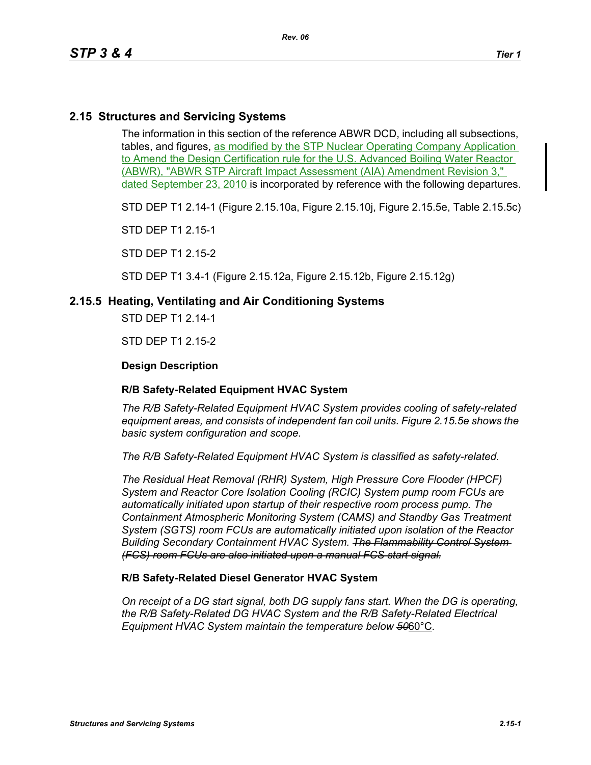# **2.15 Structures and Servicing Systems**

The information in this section of the reference ABWR DCD, including all subsections, tables, and figures, as modified by the STP Nuclear Operating Company Application to Amend the Design Certification rule for the U.S. Advanced Boiling Water Reactor (ABWR), "ABWR STP Aircraft Impact Assessment (AIA) Amendment Revision 3," dated September 23, 2010 is incorporated by reference with the following departures.

STD DEP T1 2.14-1 (Figure 2.15.10a, Figure 2.15.10j, Figure 2.15.5e, Table 2.15.5c)

STD DEP T1 2.15-1

STD DEP T1 2.15-2

STD DEP T1 3.4-1 (Figure 2.15.12a, Figure 2.15.12b, Figure 2.15.12g)

## **2.15.5 Heating, Ventilating and Air Conditioning Systems**

STD DEP T1 2.14-1

STD DEP T1 2.15-2

## **Design Description**

## **R/B Safety-Related Equipment HVAC System**

*The R/B Safety-Related Equipment HVAC System provides cooling of safety-related equipment areas, and consists of independent fan coil units. Figure 2.15.5e shows the basic system configuration and scope.*

*The R/B Safety-Related Equipment HVAC System is classified as safety-related.*

*The Residual Heat Removal (RHR) System, High Pressure Core Flooder (HPCF) System and Reactor Core Isolation Cooling (RCIC) System pump room FCUs are automatically initiated upon startup of their respective room process pump. The Containment Atmospheric Monitoring System (CAMS) and Standby Gas Treatment System (SGTS) room FCUs are automatically initiated upon isolation of the Reactor Building Secondary Containment HVAC System. The Flammability Control System (FCS) room FCUs are also initiated upon a manual FCS start signal.*

## **R/B Safety-Related Diesel Generator HVAC System**

*On receipt of a DG start signal, both DG supply fans start. When the DG is operating, the R/B Safety-Related DG HVAC System and the R/B Safety-Related Electrical Equipment HVAC System maintain the temperature below 50*60°C*.*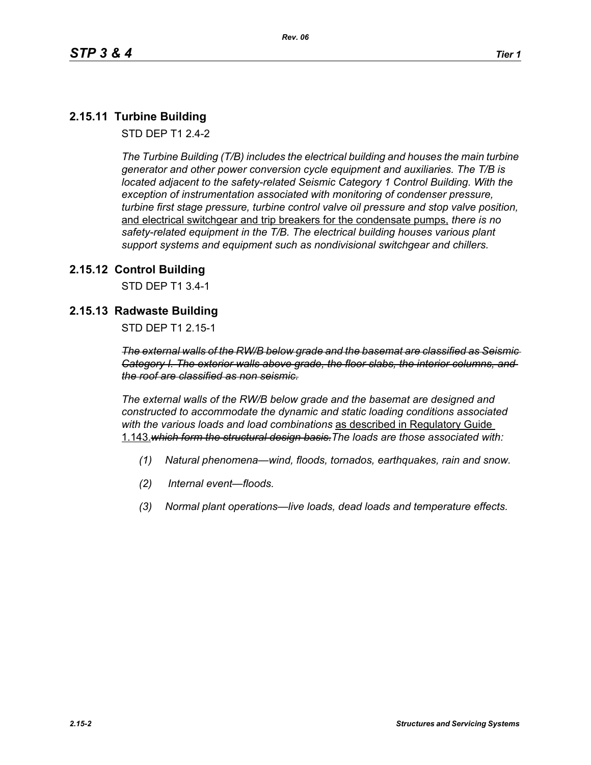# **2.15.11 Turbine Building**

STD DEP T1 2.4-2

*The Turbine Building (T/B) includes the electrical building and houses the main turbine generator and other power conversion cycle equipment and auxiliaries. The T/B is located adjacent to the safety-related Seismic Category 1 Control Building. With the exception of instrumentation associated with monitoring of condenser pressure, turbine first stage pressure, turbine control valve oil pressure and stop valve position,*  and electrical switchgear and trip breakers for the condensate pumps, *there is no safety-related equipment in the T/B. The electrical building houses various plant support systems and equipment such as nondivisional switchgear and chillers.*

# **2.15.12 Control Building**

STD DEP T1 3.4-1

# **2.15.13 Radwaste Building**

STD DEP T1 2.15-1

*The external walls of the RW/B below grade and the basemat are classified as Seismic Category I. The exterior walls above grade, the floor slabs, the interior columns, and the roof are classified as non seismic.*

*The external walls of the RW/B below grade and the basemat are designed and constructed to accommodate the dynamic and static loading conditions associated with the various loads and load combinations* as described in Regulatory Guide 1.143.*which form the structural design basis.The loads are those associated with:*

- *(1) Natural phenomena—wind, floods, tornados, earthquakes, rain and snow.*
- *(2) Internal event—floods.*
- *(3) Normal plant operations—live loads, dead loads and temperature effects.*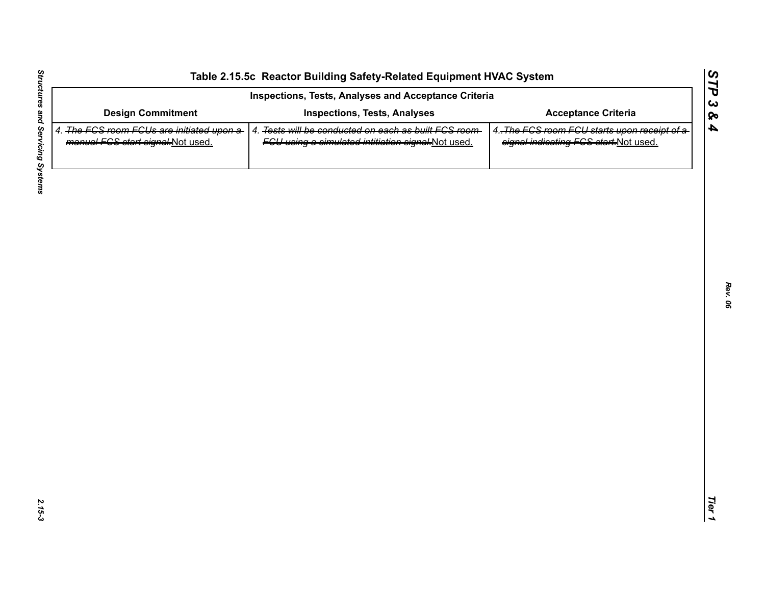| <b>Design Commitment</b><br>4. The FGS room FGUs are initiated upon a-<br>manual FCS start signal-Not used. | <b>Inspections, Tests, Analyses</b><br>4. Tests will be conducted on each as built FCS room- | <b>Acceptance Criteria</b>                                                            |
|-------------------------------------------------------------------------------------------------------------|----------------------------------------------------------------------------------------------|---------------------------------------------------------------------------------------|
|                                                                                                             |                                                                                              |                                                                                       |
|                                                                                                             | FGU using a simulated intitiation signal-Not used.                                           | 4. The FCS room FCU starts upon receipt of a<br>signal indicating FCS start-Not used. |
|                                                                                                             |                                                                                              |                                                                                       |
|                                                                                                             |                                                                                              |                                                                                       |
|                                                                                                             |                                                                                              |                                                                                       |
|                                                                                                             |                                                                                              |                                                                                       |
|                                                                                                             |                                                                                              |                                                                                       |
|                                                                                                             |                                                                                              |                                                                                       |
|                                                                                                             |                                                                                              |                                                                                       |
|                                                                                                             |                                                                                              |                                                                                       |
|                                                                                                             |                                                                                              |                                                                                       |
|                                                                                                             |                                                                                              |                                                                                       |

L,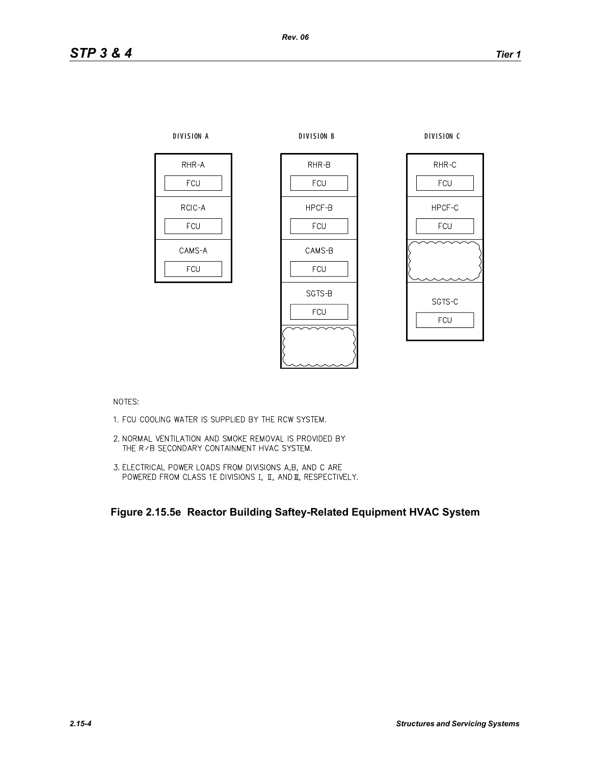

NOTES:

- 1. FCU COOLING WATER IS SUPPLIED BY THE RCW SYSTEM.
- 2. NORMAL VENTILATION AND SMOKE REMOVAL IS PROVIDED BY THE R / B SECONDARY CONTAINMENT HVAC SYSTEM.
- 3. ELECTRICAL POWER LOADS FROM DIVISIONS A,B, AND C ARE POWERED FROM CLASS 1E DIVISIONS I, II, AND II, RESPECTIVELY.

**Figure 2.15.5e Reactor Building Saftey-Related Equipment HVAC System**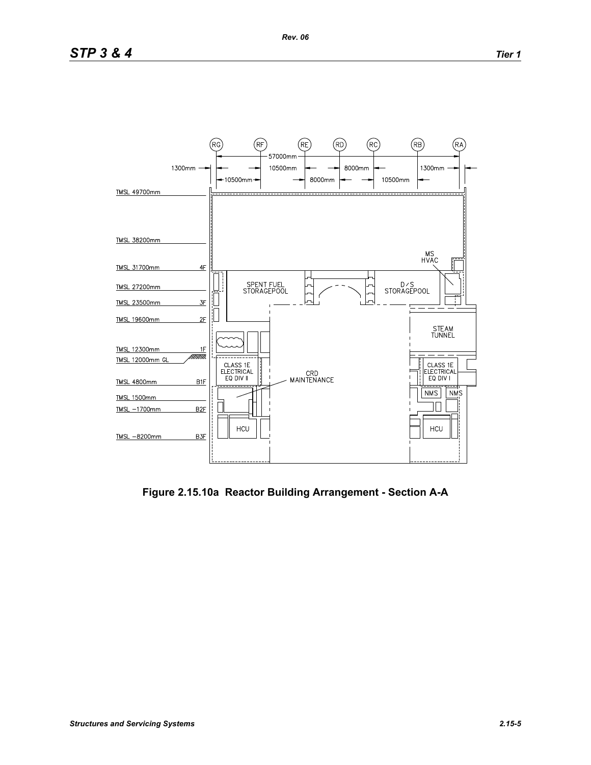

**Figure 2.15.10a Reactor Building Arrangement - Section A-A**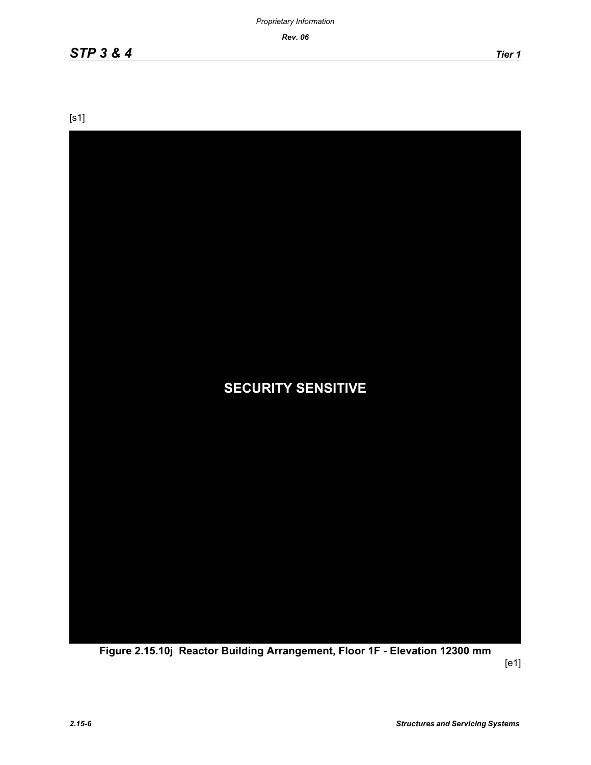*Rev. 06*

[s1]



**Figure 2.15.10j Reactor Building Arrangement, Floor 1F - Elevation 12300 mm**

[e1]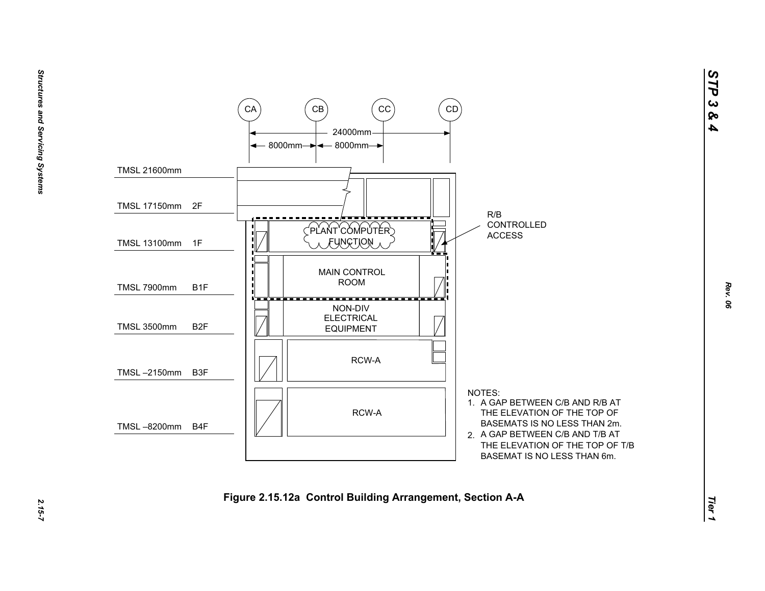

*STP 3 & 4*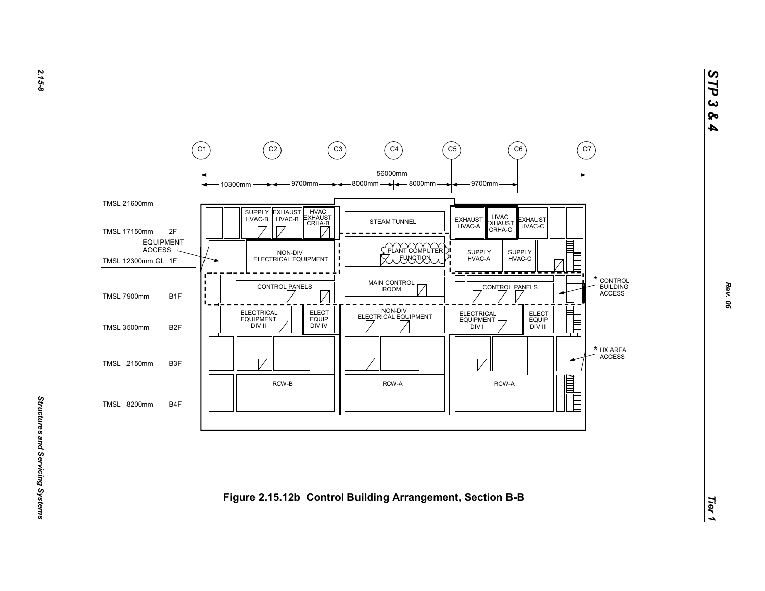